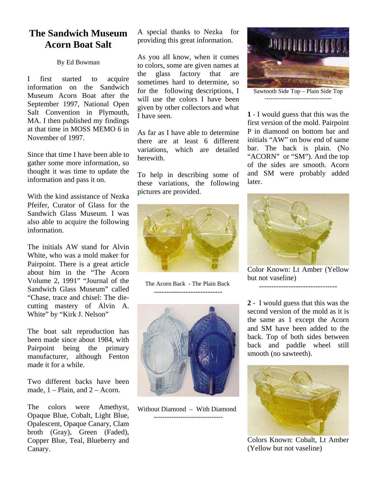## **The Sandwich Museum Acorn Boat Salt**

By Ed Bowman

I first started to acquire information on the Sandwich Museum Acorn Boat after the September 1997, National Open Salt Convention in Plymouth, MA. I then published my findings at that time in MOSS MEMO 6 in November of 1997.

Since that time I have been able to gather some more information, so thought it was time to update the information and pass it on.

With the kind assistance of Nezka Pfeifer, Curator of Glass for the Sandwich Glass Museum. I was also able to acquire the following information.

The initials AW stand for Alvin White, who was a mold maker for Pairpoint. There is a great article about him in the "The Acorn Volume 2, 1991" "Journal of the Sandwich Glass Museum" called "Chase, trace and chisel: The diecutting mastery of Alvin A. White" by "Kirk J. Nelson"

The boat salt reproduction has been made since about 1984, with Pairpoint being the primary manufacturer, although Fenton made it for a while.

Two different backs have been made,  $1 -$ Plain, and  $2 -$ Acorn.

The colors were Amethyst, Opaque Blue, Cobalt, Light Blue, Opalescent, Opaque Canary, Clam broth (Gray), Green (Faded), Copper Blue, Teal, Blueberry and Canary.

A special thanks to Nezka for providing this great information.

As you all know, when it comes to colors, some are given names at the glass factory that are sometimes hard to determine, so for the following descriptions, I will use the colors I have been given by other collectors and what I have seen.

As far as I have able to determine there are at least 6 different variations, which are detailed herewith.

To help in describing some of these variations, the following pictures are provided.



 The Acorn Back - The Plain Back ----------------------------



Without Diamond – With Diamond -------------------------------



Sawtooth Side Top – Plain Side Top ---------------------------------

**1** - I would guess that this was the first version of the mold. Pairpoint P in diamond on bottom bar and initials "AW" on bow end of same bar. The back is plain. (No "ACORN" or "SM"). And the top of the sides are smooth. Acorn and SM were probably added later.



Color Known: Lt Amber (Yellow but not vaseline)

--------------------------------

**2** - I would guess that this was the second version of the mold as it is the same as 1 except the Acorn and SM have been added to the back. Top of both sides between back and paddle wheel still smooth (no sawteeth).



Colors Known: Cobalt, Lt Amber (Yellow but not vaseline)